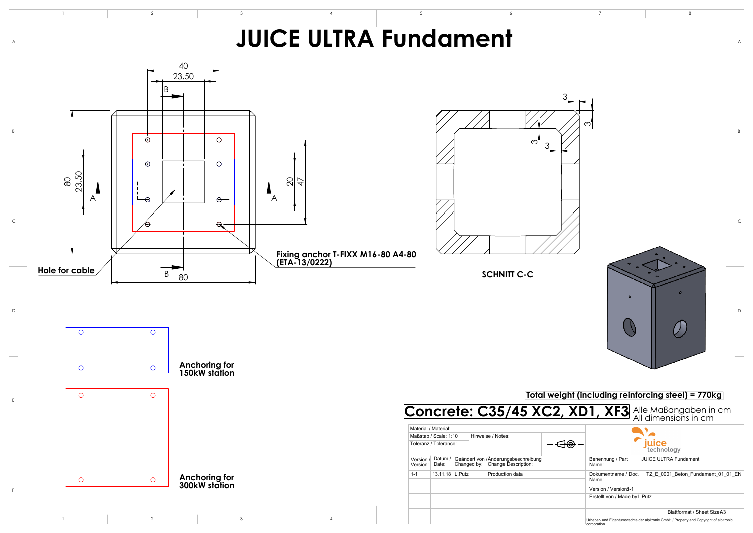

|                                                                                                            | $\overline{7}$                                                  | 8                                                                                                                            |   |
|------------------------------------------------------------------------------------------------------------|-----------------------------------------------------------------|------------------------------------------------------------------------------------------------------------------------------|---|
|                                                                                                            |                                                                 |                                                                                                                              | Α |
|                                                                                                            | ς                                                               |                                                                                                                              | B |
|                                                                                                            |                                                                 |                                                                                                                              | C |
|                                                                                                            |                                                                 | 0                                                                                                                            | D |
| ht (including reinforcing steel) = 770kg <br><b>XD1, XF3</b> Alle Maßangaben in cm<br>All dimensions in cm |                                                                 |                                                                                                                              |   |
|                                                                                                            | Benennung / Part<br>Name:                                       | juice<br>technology<br><b>JUICE ULTRA Fundament</b>                                                                          |   |
|                                                                                                            | Name:<br>Version / Version1-1<br>Erstellt von / Made by L. Putz | Dokumentname / Doc. TZ_E_0001_Beton_Fundament_01_01_EN                                                                       |   |
|                                                                                                            | corporation.                                                    | <b>Blattformat / Sheet SizeA3</b><br>Urheber- und Eigentumsrechte der alpitronic GmbH / Property and Copyright of alpitronic |   |